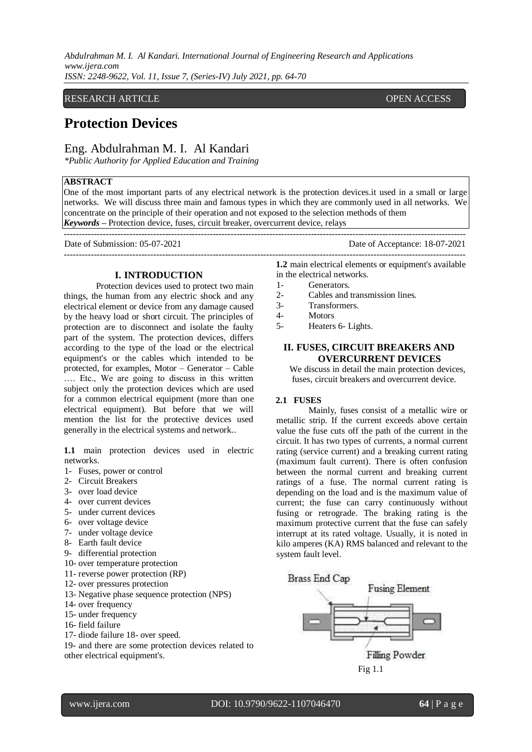## RESEARCH ARTICLE **CONSERVERS** OPEN ACCESS

# **Protection Devices**

## Eng. Abdulrahman M. I. Al Kandari

*\*Public Authority for Applied Education and Training* 

## **ABSTRACT**

One of the most important parts of any electrical network is the protection devices.it used in a small or large networks. We will discuss three main and famous types in which they are commonly used in all networks. We concentrate on the principle of their operation and not exposed to the selection methods of them *Keywords* **–** Protection device, fuses, circuit breaker, overcurrent device, relays

---------------------------------------------------------------------------------------------------------------------------------------

---------------------------------------------------------------------------------------------------------------------------------------

Protection devices used to protect two main things, the human from any electric shock and any electrical element or device from any damage caused by the heavy load or short circuit. The principles of protection are to disconnect and isolate the faulty part of the system. The protection devices, differs according to the type of the load or the electrical equipment's or the cables which intended to be protected, for examples, Motor – Generator – Cable …. Etc., We are going to discuss in this written subject only the protection devices which are used for a common electrical equipment (more than one electrical equipment). But before that we will mention the list for the protective devices used generally in the electrical systems and network..

**I. INTRODUCTION** 

**1.1** main protection devices used in electric networks.

- 1- Fuses, power or control
- 2- Circuit Breakers
- 3- over load device
- 4- over current devices
- 5- under current devices
- 6- over voltage device
- 7- under voltage device
- 8- Earth fault device
- 9- differential protection
- 10- over temperature protection
- 11- reverse power protection (RP)
- 12- over pressures protection
- 13- Negative phase sequence protection (NPS)
- 14- over frequency
- 15- under frequency
- 16- field failure
- 17- diode failure 18- over speed.

19- and there are some protection devices related to other electrical equipment's.

Date of Submission: 05-07-2021 Date of Acceptance: 18-07-2021

**1.2** main electrical elements or equipment's available in the electrical networks.

- 1- Generators.
- 2- Cables and transmission lines.
- 3- Transformers.
- 4- Motors
- 5- Heaters 6- Lights.

## **II. FUSES, CIRCUIT BREAKERS AND OVERCURRENT DEVICES**

 We discuss in detail the main protection devices, fuses, circuit breakers and overcurrent device.

## **2.1 FUSES**

Mainly, fuses consist of a metallic wire or metallic strip. If the current exceeds above certain value the fuse cuts off the path of the current in the circuit. It has two types of currents, a normal current rating (service current) and a breaking current rating (maximum fault current). There is often confusion between the normal current and breaking current ratings of a fuse. The normal current rating is depending on the load and is the maximum value of current; the fuse can carry continuously without fusing or retrograde. The braking rating is the maximum protective current that the fuse can safely interrupt at its rated voltage. Usually, it is noted in kilo amperes (KA) RMS balanced and relevant to the system fault level.

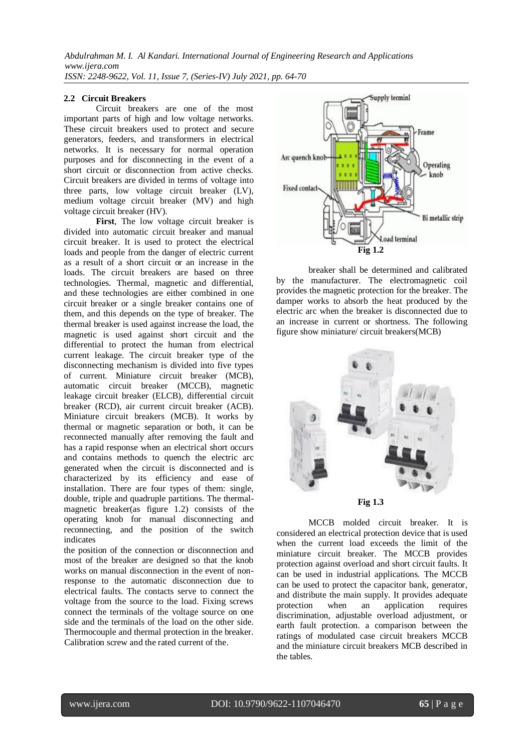#### **2.2 Circuit Breakers**

Circuit breakers are one of the most important parts of high and low voltage networks. These circuit breakers used to protect and secure generators, feeders, and transformers in electrical networks. It is necessary for normal operation purposes and for disconnecting in the event of a short circuit or disconnection from active checks. Circuit breakers are divided in terms of voltage into three parts, low voltage circuit breaker (LV), medium voltage circuit breaker (MV) and high voltage circuit breaker (HV).

**First**, The low voltage circuit breaker is divided into automatic circuit breaker and manual circuit breaker. It is used to protect the electrical loads and people from the danger of electric current as a result of a short circuit or an increase in the loads. The circuit breakers are based on three technologies. Thermal, magnetic and differential, and these technologies are either combined in one circuit breaker or a single breaker contains one of them, and this depends on the type of breaker. The thermal breaker is used against increase the load, the magnetic is used against short circuit and the differential to protect the human from electrical current leakage. The circuit breaker type of the disconnecting mechanism is divided into five types of current. Miniature circuit breaker (MCB), automatic circuit breaker (MCCB), magnetic leakage circuit breaker (ELCB), differential circuit breaker (RCD), air current circuit breaker (ACB). Miniature circuit breakers (MCB). It works by thermal or magnetic separation or both, it can be reconnected manually after removing the fault and has a rapid response when an electrical short occurs and contains methods to quench the electric arc generated when the circuit is disconnected and is characterized by its efficiency and ease of installation. There are four types of them: single, double, triple and quadruple partitions. The thermalmagnetic breaker(as figure 1.2) consists of the operating knob for manual disconnecting and reconnecting, and the position of the switch indicates

the position of the connection or disconnection and most of the breaker are designed so that the knob works on manual disconnection in the event of nonresponse to the automatic disconnection due to electrical faults. The contacts serve to connect the voltage from the source to the load. Fixing screws connect the terminals of the voltage source on one side and the terminals of the load on the other side. Thermocouple and thermal protection in the breaker. Calibration screw and the rated current of the.



breaker shall be determined and calibrated by the manufacturer. The electromagnetic coil provides the magnetic protection for the breaker. The damper works to absorb the heat produced by the electric arc when the breaker is disconnected due to an increase in current or shortness. The following figure show miniature/ circuit breakers(MCB)



MCCB molded circuit breaker. It is considered an electrical protection device that is used when the current load exceeds the limit of the miniature circuit breaker. The MCCB provides protection against overload and short circuit faults. It can be used in industrial applications. The MCCB can be used to protect the capacitor bank, generator, and distribute the main supply. It provides adequate<br>protection when an application requires when an application requires discrimination, adjustable overload adjustment, or earth fault protection. a comparison between the ratings of modulated case circuit breakers MCCB and the miniature circuit breakers MCB described in the tables.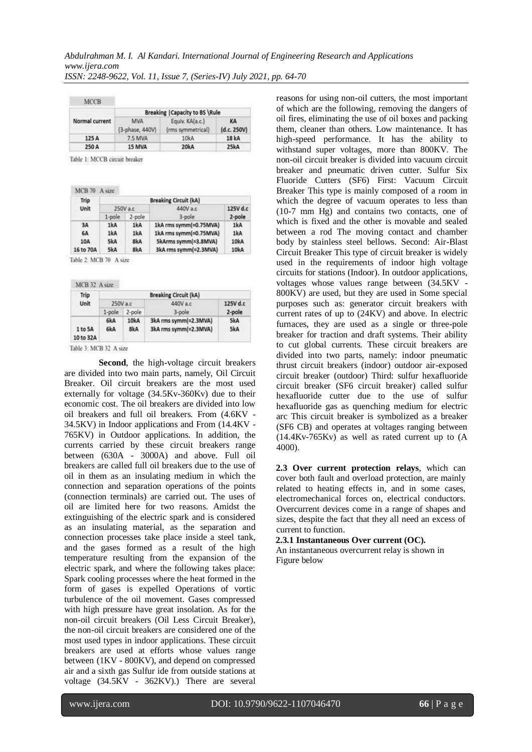| <b>MCCB</b>    |                                        |                                      |                   |  |
|----------------|----------------------------------------|--------------------------------------|-------------------|--|
| Normal current | <b>Breaking   Capacity to BS \Rule</b> |                                      |                   |  |
|                | MVA<br>(3-phase, 440V)                 | Equiv. KA(a.c.)<br>(rms symmetrical) | KA<br>(d.c. 250V) |  |
| 125 A          | 7.5 MVA                                | 10kA                                 | 18 kA             |  |
| 250 A          | 15 MVA                                 | 20kA                                 | 25kA              |  |

Table 1: MCCB circuit breaker

| Trip<br>Unit | <b>Breaking Circuit (kA)</b> |        |                        |          |  |
|--------------|------------------------------|--------|------------------------|----------|--|
|              | 250V a.c                     |        | 440V a.c.              | 125V d.o |  |
|              | $1-pole$                     | 2-pole | $3-pole$               | 2-pole   |  |
| 3A           | 1kA                          | 1kA    | 1kA rms symm(=0.75MVA) | 1kA      |  |
| 6A           | 1kA                          | 1kA    | 1kA rms symm(=0.75MVA) | 1kA      |  |
| 10A          | 5kA                          | 8kA    | 5kArms symm(=3.8MVA)   | 10kA     |  |
| 16 to 70A    | 5kA                          | 8kA    | 3kA rms symm(=2.3MVA)  | 10kA     |  |

Table 2: MCB 70 A size

MCB 32 A size

| Trip<br>Unit         | <b>Breaking Circuit (kA)</b> |             |                                                |            |  |
|----------------------|------------------------------|-------------|------------------------------------------------|------------|--|
|                      | 250V a.c                     |             | 440V a.c                                       | 125V d.c   |  |
|                      | $1$ -pole                    | 2-pole      | $3-pole$                                       | 2-pole     |  |
| 1 to 5A<br>10 to 32A | 6kA<br>6kA                   | 10kA<br>8kA | 3kA rms symm(=2.3MVA)<br>3kA rms symm(=2.3MVA) | 5kA<br>5kA |  |

Table 3: MCB 32 A size

**Second**, the high-voltage circuit breakers are divided into two main parts, namely, Oil Circuit Breaker. Oil circuit breakers are the most used externally for voltage (34.5Kv-360Kv) due to their economic cost. The oil breakers are divided into low oil breakers and full oil breakers. From (4.6KV - 34.5KV) in Indoor applications and From (14.4KV - 765KV) in Outdoor applications. In addition, the currents carried by these circuit breakers range between (630A - 3000A) and above. Full oil breakers are called full oil breakers due to the use of oil in them as an insulating medium in which the connection and separation operations of the points (connection terminals) are carried out. The uses of oil are limited here for two reasons. Amidst the extinguishing of the electric spark and is considered as an insulating material, as the separation and connection processes take place inside a steel tank, and the gases formed as a result of the high temperature resulting from the expansion of the electric spark, and where the following takes place: Spark cooling processes where the heat formed in the form of gases is expelled Operations of vortic turbulence of the oil movement. Gases compressed with high pressure have great insolation. As for the non-oil circuit breakers (Oil Less Circuit Breaker), the non-oil circuit breakers are considered one of the most used types in indoor applications. These circuit breakers are used at efforts whose values range between (1KV - 800KV), and depend on compressed air and a sixth gas Sulfur ide from outside stations at voltage (34.5KV - 362KV).) There are several reasons for using non-oil cutters, the most important of which are the following, removing the dangers of oil fires, eliminating the use of oil boxes and packing them, cleaner than others. Low maintenance. It has high-speed performance. It has the ability to withstand super voltages, more than 800KV. The non-oil circuit breaker is divided into vacuum circuit breaker and pneumatic driven cutter. Sulfur Six Fluoride Cutters (SF6) First: Vacuum Circuit Breaker This type is mainly composed of a room in which the degree of vacuum operates to less than (10-7 mm Hg) and contains two contacts, one of which is fixed and the other is movable and sealed between a rod The moving contact and chamber body by stainless steel bellows. Second: Air-Blast Circuit Breaker This type of circuit breaker is widely used in the requirements of indoor high voltage circuits for stations (Indoor). In outdoor applications, voltages whose values range between (34.5KV - 800KV) are used, but they are used in Some special purposes such as: generator circuit breakers with current rates of up to (24KV) and above. In electric furnaces, they are used as a single or three-pole breaker for traction and draft systems. Their ability to cut global currents. These circuit breakers are divided into two parts, namely: indoor pneumatic thrust circuit breakers (indoor) outdoor air-exposed circuit breaker (outdoor) Third: sulfur hexafluoride circuit breaker (SF6 circuit breaker) called sulfur hexafluoride cutter due to the use of sulfur hexafluoride gas as quenching medium for electric arc This circuit breaker is symbolized as a breaker (SF6 CB) and operates at voltages ranging between (14.4Kv-765Kv) as well as rated current up to (A 4000).

**2.3 Over current protection relays**, which can cover both fault and overload protection, are mainly related to heating effects in, and in some cases, electromechanical forces on, electrical conductors. Overcurrent devices come in a range of shapes and sizes, despite the fact that they all need an excess of current to function.

## **2.3.1 Instantaneous Over current (OC).**

An instantaneous overcurrent relay is shown in Figure below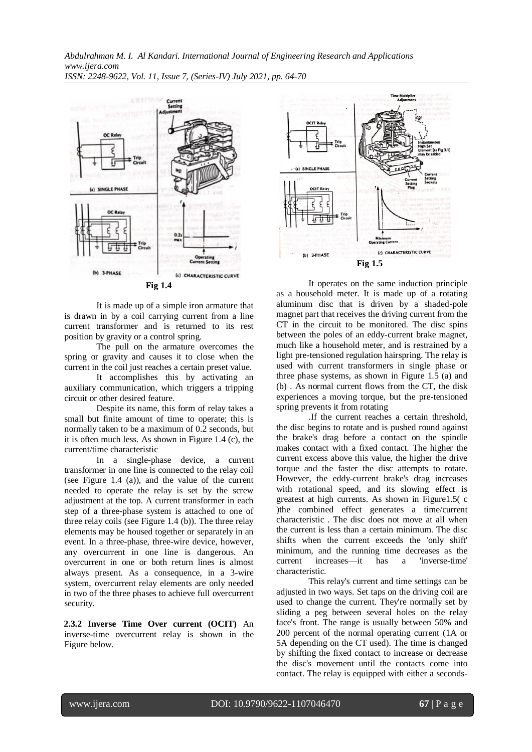

It is made up of a simple iron armature that is drawn in by a coil carrying current from a line current transformer and is returned to its rest position by gravity or a control spring.

The pull on the armature overcomes the spring or gravity and causes it to close when the current in the coil just reaches a certain preset value.

It accomplishes this by activating an auxiliary communication, which triggers a tripping circuit or other desired feature.

Despite its name, this form of relay takes a small but finite amount of time to operate; this is normally taken to be a maximum of 0.2 seconds, but it is often much less. As shown in Figure 1.4 (c), the current/time characteristic

In a single-phase device, a current transformer in one line is connected to the relay coil (see Figure 1.4 (a)), and the value of the current needed to operate the relay is set by the screw adjustment at the top. A current transformer in each step of a three-phase system is attached to one of three relay coils (see Figure 1.4 (b)). The three relay elements may be housed together or separately in an event. In a three-phase, three-wire device, however, any overcurrent in one line is dangerous. An overcurrent in one or both return lines is almost always present. As a consequence, in a 3-wire system, overcurrent relay elements are only needed in two of the three phases to achieve full overcurrent security.

**2.3.2 Inverse Time Over current (OCIT)** An inverse-time overcurrent relay is shown in the Figure below.



It operates on the same induction principle as a household meter. It is made up of a rotating aluminum disc that is driven by a shaded-pole magnet part that receives the driving current from the CT in the circuit to be monitored. The disc spins between the poles of an eddy-current brake magnet, much like a household meter, and is restrained by a light pre-tensioned regulation hairspring. The relay is used with current transformers in single phase or three phase systems, as shown in Figure 1.5 (a) and (b) . As normal current flows from the CT, the disk experiences a moving torque, but the pre-tensioned spring prevents it from rotating

.If the current reaches a certain threshold, the disc begins to rotate and is pushed round against the brake's drag before a contact on the spindle makes contact with a fixed contact. The higher the current excess above this value, the higher the drive torque and the faster the disc attempts to rotate. However, the eddy-current brake's drag increases with rotational speed, and its slowing effect is greatest at high currents. As shown in Figure1.5( c )the combined effect generates a time/current characteristic . The disc does not move at all when the current is less than a certain minimum. The disc shifts when the current exceeds the 'only shift' minimum, and the running time decreases as the current increases—it has a 'inverse-time' characteristic.

This relay's current and time settings can be adjusted in two ways. Set taps on the driving coil are used to change the current. They're normally set by sliding a peg between several holes on the relay face's front. The range is usually between 50% and 200 percent of the normal operating current (1A or 5A depending on the CT used). The time is changed by shifting the fixed contact to increase or decrease the disc's movement until the contacts come into contact. The relay is equipped with either a seconds-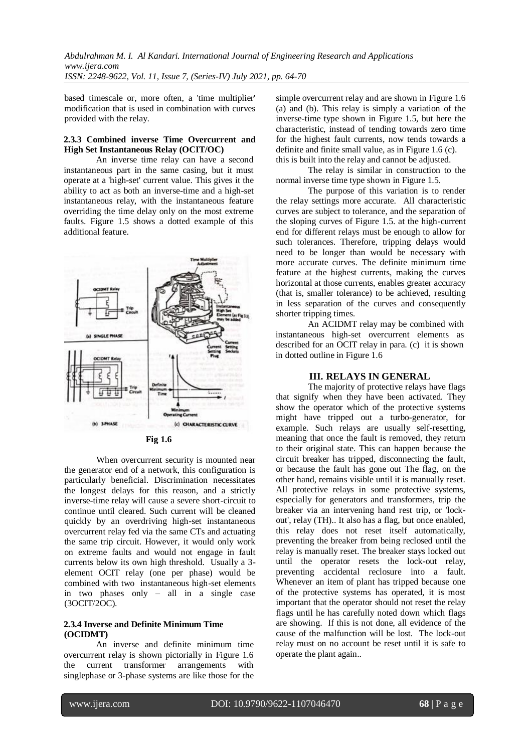based timescale or, more often, a 'time multiplier' modification that is used in combination with curves provided with the relay.

#### **2.3.3 Combined inverse Time Overcurrent and High Set Instantaneous Relay (OCIT/OC)**

An inverse time relay can have a second instantaneous part in the same casing, but it must operate at a 'high-set' current value. This gives it the ability to act as both an inverse-time and a high-set instantaneous relay, with the instantaneous feature overriding the time delay only on the most extreme faults. Figure 1.5 shows a dotted example of this additional feature.



When overcurrent security is mounted near the generator end of a network, this configuration is particularly beneficial. Discrimination necessitates the longest delays for this reason, and a strictly inverse-time relay will cause a severe short-circuit to continue until cleared. Such current will be cleaned quickly by an overdriving high-set instantaneous overcurrent relay fed via the same CTs and actuating the same trip circuit. However, it would only work on extreme faults and would not engage in fault currents below its own high threshold. Usually a 3 element OCIT relay (one per phase) would be combined with two instantaneous high-set elements in two phases only – all in a single case (3OCIT/2OC).

#### **2.3.4 Inverse and Definite Minimum Time (OCIDMT)**

An inverse and definite minimum time overcurrent relay is shown pictorially in Figure 1.6 the current transformer arrangements with singlephase or 3-phase systems are like those for the

simple overcurrent relay and are shown in Figure 1.6 (a) and (b). This relay is simply a variation of the inverse-time type shown in Figure 1.5, but here the characteristic, instead of tending towards zero time for the highest fault currents, now tends towards a definite and finite small value, as in Figure 1.6 (c). this is built into the relay and cannot be adjusted.

The relay is similar in construction to the normal inverse time type shown in Figure 1.5.

The purpose of this variation is to render the relay settings more accurate. All characteristic curves are subject to tolerance, and the separation of the sloping curves of Figure 1.5. at the high-current end for different relays must be enough to allow for such tolerances. Therefore, tripping delays would need to be longer than would be necessary with more accurate curves. The definite minimum time feature at the highest currents, making the curves horizontal at those currents, enables greater accuracy (that is, smaller tolerance) to be achieved, resulting in less separation of the curves and consequently shorter tripping times.

An ACIDMT relay may be combined with instantaneous high-set overcurrent elements as described for an OCIT relay in para. (c) it is shown in dotted outline in Figure 1.6

## **III. RELAYS IN GENERAL**

The majority of protective relays have flags that signify when they have been activated. They show the operator which of the protective systems might have tripped out a turbo-generator, for example. Such relays are usually self-resetting, meaning that once the fault is removed, they return to their original state. This can happen because the circuit breaker has tripped, disconnecting the fault, or because the fault has gone out The flag, on the other hand, remains visible until it is manually reset. All protective relays in some protective systems, especially for generators and transformers, trip the breaker via an intervening hand rest trip, or 'lockout', relay (TH).. It also has a flag, but once enabled, this relay does not reset itself automatically, preventing the breaker from being reclosed until the relay is manually reset. The breaker stays locked out until the operator resets the lock-out relay, preventing accidental reclosure into a fault. Whenever an item of plant has tripped because one of the protective systems has operated, it is most important that the operator should not reset the relay flags until he has carefully noted down which flags are showing. If this is not done, all evidence of the cause of the malfunction will be lost. The lock-out relay must on no account be reset until it is safe to operate the plant again..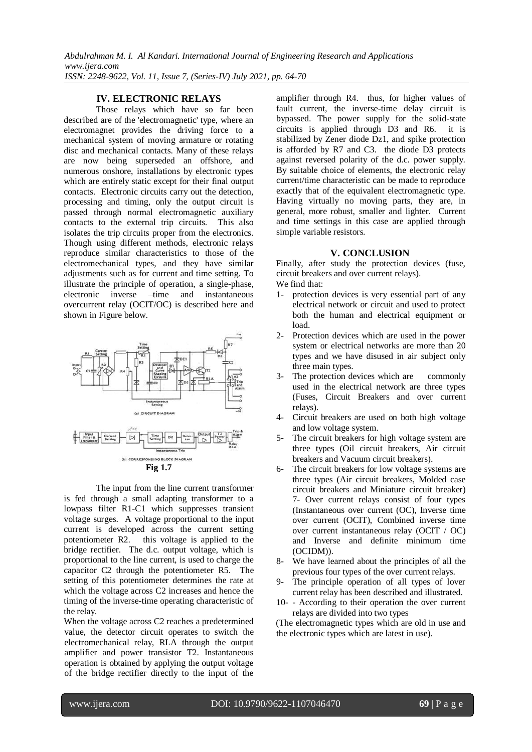## **IV. ELECTRONIC RELAYS**

Those relays which have so far been described are of the 'electromagnetic' type, where an electromagnet provides the driving force to a mechanical system of moving armature or rotating disc and mechanical contacts. Many of these relays are now being superseded an offshore, and numerous onshore, installations by electronic types which are entirely static except for their final output contacts. Electronic circuits carry out the detection, processing and timing, only the output circuit is passed through normal electromagnetic auxiliary contacts to the external trip circuits. This also isolates the trip circuits proper from the electronics. Though using different methods, electronic relays reproduce similar characteristics to those of the electromechanical types, and they have similar adjustments such as for current and time setting. To illustrate the principle of operation, a single-phase, electronic inverse –time and instantaneous overcurrent relay (OCIT/OC) is described here and shown in Figure below.



The input from the line current transformer is fed through a small adapting transformer to a lowpass filter R1-C1 which suppresses transient voltage surges. A voltage proportional to the input current is developed across the current setting potentiometer R2. this voltage is applied to the bridge rectifier. The d.c. output voltage, which is proportional to the line current, is used to charge the capacitor C2 through the potentiometer R5. The setting of this potentiometer determines the rate at which the voltage across C2 increases and hence the timing of the inverse-time operating characteristic of the relay.

When the voltage across C2 reaches a predetermined value, the detector circuit operates to switch the electromechanical relay, RLA through the output amplifier and power transistor T2. Instantaneous operation is obtained by applying the output voltage of the bridge rectifier directly to the input of the

amplifier through R4. thus, for higher values of fault current, the inverse-time delay circuit is bypassed. The power supply for the solid-state circuits is applied through D3 and R6. it is stabilized by Zener diode Dz1, and spike protection is afforded by R7 and C3. the diode D3 protects against reversed polarity of the d.c. power supply. By suitable choice of elements, the electronic relay current/time characteristic can be made to reproduce exactly that of the equivalent electromagnetic type. Having virtually no moving parts, they are, in general, more robust, smaller and lighter. Current and time settings in this case are applied through simple variable resistors.

#### **V. CONCLUSION**

Finally, after study the protection devices (fuse, circuit breakers and over current relays). We find that:

- 
- 1- protection devices is very essential part of any electrical network or circuit and used to protect both the human and electrical equipment or load.
- 2- Protection devices which are used in the power system or electrical networks are more than 20 types and we have disused in air subject only three main types.
- 3- The protection devices which are commonly used in the electrical network are three types (Fuses, Circuit Breakers and over current relays).
- 4- Circuit breakers are used on both high voltage and low voltage system.
- 5- The circuit breakers for high voltage system are three types (Oil circuit breakers, Air circuit breakers and Vacuum circuit breakers).
- 6- The circuit breakers for low voltage systems are three types (Air circuit breakers, Molded case circuit breakers and Miniature circuit breaker) 7- Over current relays consist of four types (Instantaneous over current (OC), Inverse time over current (OCIT), Combined inverse time over current instantaneous relay (OCIT / OC) and Inverse and definite minimum time (OCIDM)).
- 8- We have learned about the principles of all the previous four types of the over current relays.
- 9- The principle operation of all types of lover current relay has been described and illustrated.
- 10- According to their operation the over current relays are divided into two types

(The electromagnetic types which are old in use and the electronic types which are latest in use).